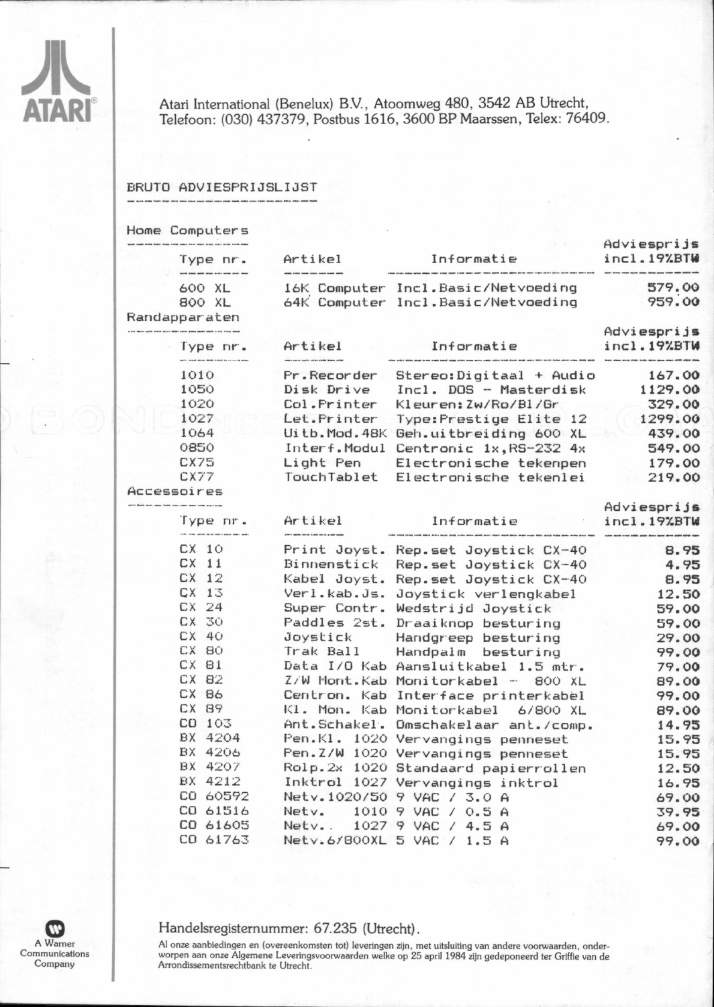

Atari International (Benelux) B.V., Atoomweg 480, 3542 AB Utrecht, Telefoon: (030) 437379, Postbus 1616, 3600 BP Maarssen, Telex: 76409.

## BRUTO ADVIESPRIJSLIJST

| Home Computers                    |                                                                                                                                                                                          |                                                                                       |                                                                                                                                                                                                                                                                                                                                                                                                                                                                                                                                                                                                                                                                               |                                                                                                                                                                      |
|-----------------------------------|------------------------------------------------------------------------------------------------------------------------------------------------------------------------------------------|---------------------------------------------------------------------------------------|-------------------------------------------------------------------------------------------------------------------------------------------------------------------------------------------------------------------------------------------------------------------------------------------------------------------------------------------------------------------------------------------------------------------------------------------------------------------------------------------------------------------------------------------------------------------------------------------------------------------------------------------------------------------------------|----------------------------------------------------------------------------------------------------------------------------------------------------------------------|
|                                   | Type nr.                                                                                                                                                                                 | Artikel                                                                               | Informatie                                                                                                                                                                                                                                                                                                                                                                                                                                                                                                                                                                                                                                                                    | Adviesprijs<br>incl.19%BTW                                                                                                                                           |
| 600 XL<br>800 XL<br>Randapparaten |                                                                                                                                                                                          |                                                                                       | 16K Computer Incl. Basic/Netvoeding<br>64K Computer Incl. Basic/Netvoeding                                                                                                                                                                                                                                                                                                                                                                                                                                                                                                                                                                                                    | 579.00<br>959.00                                                                                                                                                     |
|                                   | Type nr.                                                                                                                                                                                 | Artikel                                                                               | Informatie                                                                                                                                                                                                                                                                                                                                                                                                                                                                                                                                                                                                                                                                    | Adviesprijs<br>incl.19%BTW                                                                                                                                           |
|                                   | 1010<br>1050<br>1020<br>1027<br>1064<br>0850<br>CX75<br>CX77                                                                                                                             | Pr.Recorder<br>Disk Drive<br>Col. Printer<br>Let. Printer<br>Light Pen<br>TouchTablet | Stereo: Digitaal + Audio<br>Incl. DOS - Masterdisk<br>Kleuren: Zw/Ro/Bl/Gr<br>Type:Prestige Elite 12<br>Uitb.Mod.48K Geh.uitbreiding 600 XL<br>Interf.Modul Centronic 1x, RS-232 4x<br>Electronische tekenpen<br>Electronische tekenlei                                                                                                                                                                                                                                                                                                                                                                                                                                       | 167.00<br>1129.00<br>329.00<br>1299.00<br>439.00<br>549.00<br>179.00<br>219.00                                                                                       |
|                                   | Accessoires                                                                                                                                                                              |                                                                                       |                                                                                                                                                                                                                                                                                                                                                                                                                                                                                                                                                                                                                                                                               |                                                                                                                                                                      |
|                                   | Type nr.                                                                                                                                                                                 | Artikel                                                                               | Informatie                                                                                                                                                                                                                                                                                                                                                                                                                                                                                                                                                                                                                                                                    | Adviesprijs<br>incl.19%BTW                                                                                                                                           |
|                                   | CX 10<br>$CX$ 11<br>CX 12<br>CX 13<br>CX 24<br>CX 30<br>CX 40<br>CX 80<br>CX 81<br>CX 82<br>CX 86<br>CX 89<br>CO 103<br>BX 4204<br>BX 4206<br>BX 4207<br>BX 4212<br>CO 60592<br>CO 61516 | Binnenstick<br>Joystick<br>Trak Ball<br>Netv.                                         | Print Joyst. Rep.set Joystick CX-40<br>Rep.set Joystick CX-40<br>Kabel Joyst. Rep.set Joystick CX-40<br>Verl.kab.Js. Joystick verlengkabel<br>Super Contr. Wedstrijd Joystick<br>Paddles 2st. Draaiknop besturing<br>Handgreep besturing<br>Handpalm besturing<br>Data I/O Kab Aansluitkabel 1.5 mtr.<br>Z/W Mont. Kab Monitorkabel - 800 XL<br>Centron. Kab Interface printerkabel<br>Kl. Mon. Kab Monitorkabel<br>6/800 XL<br>Ant.Schakel. Omschakelaar ant./comp.<br>Pen.Kl. 1020 Vervangings penneset<br>Pen.Z/W 1020 Vervangings penneset<br>Rolp.2x 1020 Standaard papierrollen<br>Inktrol 1027 Vervangings inktrol<br>Netv.1020/50 9 VAC / 3.0 A<br>1010 9 VAC / 0.5 A | 8.95<br>4.95<br>8.95<br>12.50<br>59.00<br>59.00<br>29.00<br>99.00<br>79.00<br>89.00<br>99.00<br>89.00<br>14.95<br>15.95<br>15.95<br>12.50<br>16.95<br>69.00<br>39.95 |
|                                   | CO 61605<br>CO 61763                                                                                                                                                                     | Netv                                                                                  | 1027 9 VAC / 4.5 A<br>Netv.6/800XL 5 VAC / 1.5 A                                                                                                                                                                                                                                                                                                                                                                                                                                                                                                                                                                                                                              | 69.00<br>99.00                                                                                                                                                       |



## Handelsregisternummer: 67.235 (Utrecht).

Al onze aanbiedingen en (overeenkomsten tot) leveringen zijn, met uitsluiting van andere voorwaarden, onderworpen aan onze Algemene Leveringsvoorwaarden welke op 25 april 1984 zijn gedeponeerd ter Griffie van de Arrondisse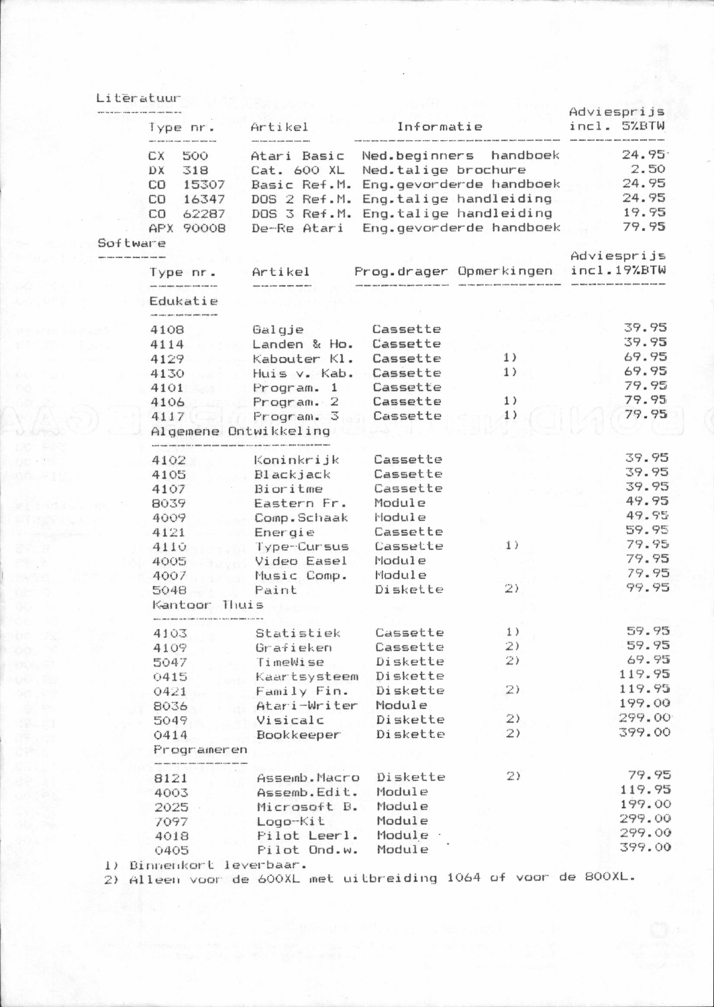## Literatuur

 $00.38$ 

四部

|          | Type nr.                                                                          | Artikel                                                                                   | Informatie<br>Ned.beginners handboek<br>Ned.talige brochure<br>Eng.gevorderde handboek<br>Eng.talige handleiding<br>Eng.talige handleiding<br>Eng.gevorderde handboek |                         | Adviesprijs<br>incl. 5%BTW<br>24.95'<br>2.50<br>24.95<br>24.95<br>19.95<br>79.95 |  |
|----------|-----------------------------------------------------------------------------------|-------------------------------------------------------------------------------------------|-----------------------------------------------------------------------------------------------------------------------------------------------------------------------|-------------------------|----------------------------------------------------------------------------------|--|
| Software | 500<br>CX.<br>318<br>DX<br>15307<br>CO<br>16347<br>CO<br>CO<br>62287<br>APX 90008 | Atari Basic<br>Cat. 600 XL<br>Basic Ref.M.<br>DOS 2 Ref.M.<br>DOS 3 Ref.M.<br>De-Re Atari |                                                                                                                                                                       |                         |                                                                                  |  |
|          | Type nr.                                                                          | Artikel                                                                                   |                                                                                                                                                                       | Prog.drager Opmerkingen | Adviesprijs<br>incl.19%BTW                                                       |  |
|          |                                                                                   |                                                                                           |                                                                                                                                                                       |                         |                                                                                  |  |
|          | Edukatie                                                                          |                                                                                           |                                                                                                                                                                       |                         |                                                                                  |  |
|          | 4108                                                                              | Galgje                                                                                    | Cassette                                                                                                                                                              |                         | 39.95                                                                            |  |
|          | 4114                                                                              | Landen & Ho.                                                                              | Cassette                                                                                                                                                              |                         | 39.95                                                                            |  |
|          | 4129                                                                              | Kabouter Kl.                                                                              | Cassette                                                                                                                                                              | 1)                      | 69.95                                                                            |  |
|          | 4130                                                                              | Huis v. Kab.                                                                              | Cassette                                                                                                                                                              | 1)                      | 69.95                                                                            |  |
|          | 4101                                                                              | Program. 1                                                                                | Cassette                                                                                                                                                              |                         | 79.95                                                                            |  |
|          | 4106                                                                              | Program. 2                                                                                | Cassette                                                                                                                                                              | 1)                      | 79.95                                                                            |  |
|          | 4117                                                                              | Program. 3                                                                                | Cassette                                                                                                                                                              | 1)                      | 79.95                                                                            |  |
|          |                                                                                   | Algemene Ontwikkeling                                                                     |                                                                                                                                                                       |                         |                                                                                  |  |
|          | 4102                                                                              | Koninkrijk                                                                                | Cassette                                                                                                                                                              |                         | 39.95                                                                            |  |
|          | 4105                                                                              | Blackjack                                                                                 | Cassette                                                                                                                                                              |                         | 39.95                                                                            |  |
|          | 4107                                                                              | Bioritme                                                                                  | Cassette                                                                                                                                                              |                         | 39.95                                                                            |  |
|          | 8039                                                                              | Eastern Fr.                                                                               | Module                                                                                                                                                                |                         | 49.95                                                                            |  |
|          | 4009                                                                              | Comp.Schaak                                                                               | Module                                                                                                                                                                |                         | 49.95                                                                            |  |
|          | 4121                                                                              | Energie                                                                                   | Cassette                                                                                                                                                              |                         | 59.95                                                                            |  |
|          | 4110                                                                              | Type-Cursus                                                                               | Cassette                                                                                                                                                              | 1)                      | 79.95                                                                            |  |
|          | 4005                                                                              | Video Easel                                                                               | Module                                                                                                                                                                |                         | 79.95                                                                            |  |
|          | 4007                                                                              | Music Comp.                                                                               | Module                                                                                                                                                                |                         | 79.95                                                                            |  |
|          | 5048                                                                              | Paint                                                                                     | Diskette                                                                                                                                                              | 2)                      | 99.95                                                                            |  |
|          | Kantoor Thuis                                                                     |                                                                                           |                                                                                                                                                                       |                         |                                                                                  |  |
|          | 4103                                                                              | Statistiek                                                                                | Cassette                                                                                                                                                              | 1)                      | 59.95                                                                            |  |
|          | 4109                                                                              | Grafieken                                                                                 | Cassette                                                                                                                                                              | 2)                      | 59.95                                                                            |  |
|          | 5047                                                                              | TimeWise                                                                                  | Diskette                                                                                                                                                              | 2)                      | 69.95                                                                            |  |
|          | 0415                                                                              | Kaartsysteem                                                                              | Diskette                                                                                                                                                              |                         | 119.95                                                                           |  |
|          | 0421                                                                              | Family Fin.                                                                               | Diskette                                                                                                                                                              | 2)                      | 119.95                                                                           |  |
|          | 8036                                                                              | Atari-Writer                                                                              | Module                                                                                                                                                                |                         | 199.00                                                                           |  |
|          | 5049                                                                              | Visicalc                                                                                  | Diskette                                                                                                                                                              | 2)                      | 299.00                                                                           |  |
|          | 0414                                                                              | Bookkeeper                                                                                | Diskette                                                                                                                                                              | 2)                      | 399.00                                                                           |  |
|          | Programeren                                                                       |                                                                                           |                                                                                                                                                                       |                         |                                                                                  |  |
|          | 8121                                                                              | Assemb.Macro                                                                              | Diskette                                                                                                                                                              | 2)                      | 79.95                                                                            |  |
|          | 4003                                                                              | Assemb.Edit.                                                                              | Module                                                                                                                                                                |                         | 119.95                                                                           |  |
|          | 2025                                                                              | Microsoft B.                                                                              | Module                                                                                                                                                                |                         | 199.00                                                                           |  |
|          | 7097                                                                              | Logo-Kit                                                                                  | Module                                                                                                                                                                |                         | 299.00                                                                           |  |
|          | 4018                                                                              | Pilot Leerl.                                                                              | Module .                                                                                                                                                              |                         | 299.00                                                                           |  |
|          | 0405                                                                              | Pilot Ond.w.                                                                              | Module                                                                                                                                                                |                         | 399.00                                                                           |  |

1) Binnenkort leverbaar.

2) Alleen voor de 600XL met uitbreiding 1064 of voor de 800XL.